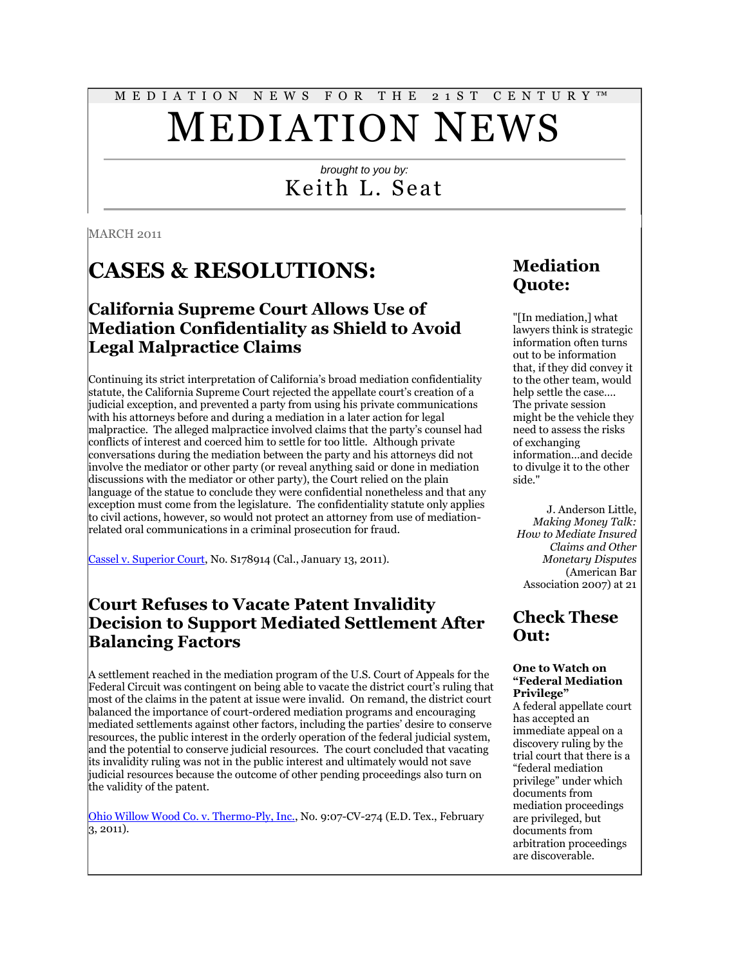#### M E D I A T I O N N E W S F O R T H E 2 1 S T C E N T U R Y ™

# MEDIATION NEWS

### *brought to you by:* Keith L. Seat

**MARCH 2011** 

## **CASES & RESOLUTIONS:**

### **California Supreme Court Allows Use of Mediation Confidentiality as Shield to Avoid Legal Malpractice Claims**

Continuing its strict interpretation of California's broad mediation confidentiality statute, the California Supreme Court rejected the appellate court's creation of a judicial exception, and prevented a party from using his private communications with his attorneys before and during a mediation in a later action for legal malpractice. The alleged malpractice involved claims that the party's counsel had conflicts of interest and coerced him to settle for too little. Although private conversations during the mediation between the party and his attorneys did not involve the mediator or other party (or reveal anything said or done in mediation discussions with the mediator or other party), the Court relied on the plain language of the statue to conclude they were confidential nonetheless and that any exception must come from the legislature. The confidentiality statute only applies to civil actions, however, so would not protect an attorney from use of mediationrelated oral communications in a criminal prosecution for fraud.

[Cassel v. Superior Court,](http://www.courtinfo.ca.gov/opinions/documents/S178914.PDF) No. S178914 (Cal., January 13, 2011).

### **Court Refuses to Vacate Patent Invalidity Decision to Support Mediated Settlement After Balancing Factors**

A settlement reached in the mediation program of the U.S. Court of Appeals for the Federal Circuit was contingent on being able to vacate the district court's ruling that most of the claims in the patent at issue were invalid. On remand, the district court balanced the importance of court-ordered mediation programs and encouraging mediated settlements against other factors, including the parties' desire to conserve resources, the public interest in the orderly operation of the federal judicial system, and the potential to conserve judicial resources. The court concluded that vacating its invalidity ruling was not in the public interest and ultimately would not save judicial resources because the outcome of other pending proceedings also turn on the validity of the patent.

[Ohio Willow Wood Co. v. Thermo-Ply, Inc.,](http://scholar.google.com/scholar_case?q=mediation&hl=en&as_sdt=2,9&as_ylo=2011&case=7737297264924866512&scilh=0) No. 9:07-CV-274 (E.D. Tex., February 3, 2011).

### **Mediation Quote:**

"[In mediation,] what lawyers think is strategic information often turns out to be information that, if they did convey it to the other team, would help settle the case…. The private session might be the vehicle they need to assess the risks of exchanging information…and decide to divulge it to the other side."

J. Anderson Little, *Making Money Talk: How to Mediate Insured Claims and Other Monetary Disputes* (American Bar Association 2007) at 21

### **Check These Out:**

#### **One to Watch on "Federal Mediation Privilege"**

A federal appellate court has accepted an immediate appeal on a discovery ruling by the trial court that there is a "federal mediation privilege" under which documents from mediation proceedings are privileged, but documents from arbitration proceedings are discoverable.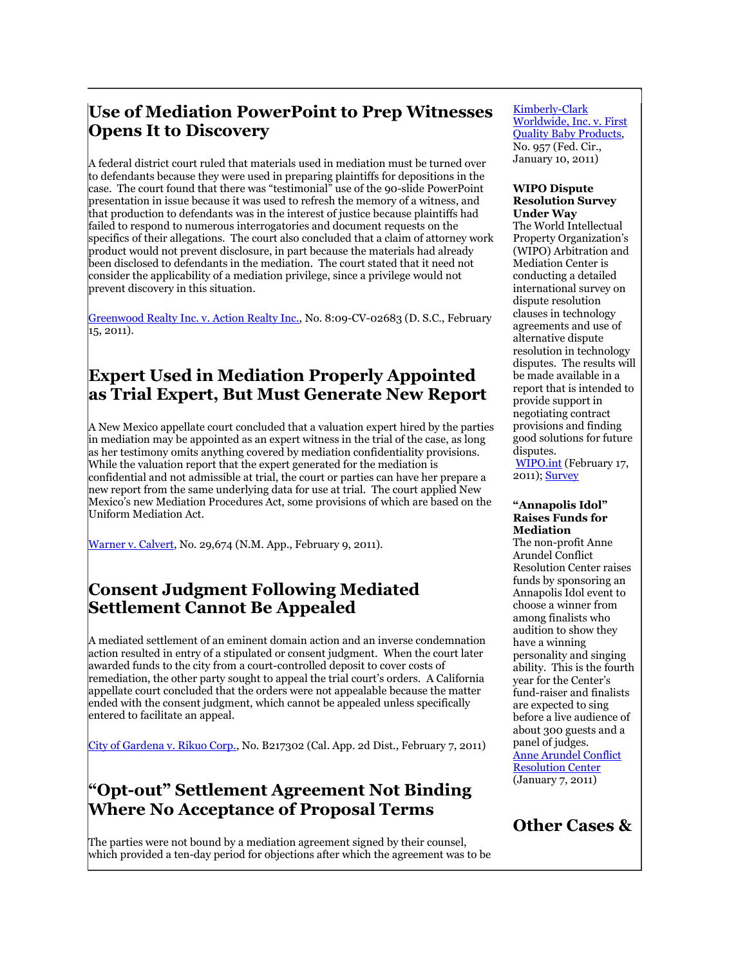### **Use of Mediation PowerPoint to Prep Witnesses Opens It to Discovery**

A federal district court ruled that materials used in mediation must be turned over to defendants because they were used in preparing plaintiffs for depositions in the case. The court found that there was "testimonial" use of the 90-slide PowerPoint presentation in issue because it was used to refresh the memory of a witness, and that production to defendants was in the interest of justice because plaintiffs had failed to respond to numerous interrogatories and document requests on the specifics of their allegations. The court also concluded that a claim of attorney work product would not prevent disclosure, in part because the materials had already been disclosed to defendants in the mediation. The court stated that it need not consider the applicability of a mediation privilege, since a privilege would not prevent discovery in this situation.

[Greenwood Realty Inc. v. Action Realty Inc.,](http://docs.justia.com/cases/federal/district-courts/south-carolina/scdce/8:2009cv02683/170379/111/) No. 8:09-CV-02683 (D. S.C., February  $15, 2011$ ).

### **Expert Used in Mediation Properly Appointed as Trial Expert, But Must Generate New Report**

A New Mexico appellate court concluded that a valuation expert hired by the parties in mediation may be appointed as an expert witness in the trial of the case, as long as her testimony omits anything covered by mediation confidentiality provisions. While the valuation report that the expert generated for the mediation is confidential and not admissible at trial, the court or parties can have her prepare a new report from the same underlying data for use at trial. The court applied New Mexico's new Mediation Procedures Act, some provisions of which are based on the Uniform Mediation Act.

[Warner v. Calvert,](http://scholar.google.com/scholar_case?q=mediation&hl=en&as_sdt=2,9&as_ylo=2011&case=9401048711100815572&scilh=0) No. 29,674 (N.M. App., February 9, 2011).

### **Consent Judgment Following Mediated Settlement Cannot Be Appealed**

A mediated settlement of an eminent domain action and an inverse condemnation action resulted in entry of a stipulated or consent judgment. When the court later awarded funds to the city from a court-controlled deposit to cover costs of remediation, the other party sought to appeal the trial court's orders. A California appellate court concluded that the orders were not appealable because the matter ended with the consent judgment, which cannot be appealed unless specifically entered to facilitate an appeal.

[City of Gardena v. Rikuo Corp.,](http://www.leagle.com/xmlResult.aspx?xmldoc=In%20CACO%2020110207012.xml&docbase=CSLWAR3-2007-CURR) No. B217302 (Cal. App. 2d Dist., February 7, 2011)

### **"Opt-out" Settlement Agreement Not Binding Where No Acceptance of Proposal Terms**

The parties were not bound by a mediation agreement signed by their counsel, which provided a ten-day period for objections after which the agreement was to be

#### [Kimberly-Clark](http://www.leagle.com/xmlResult.aspx?xmldoc=In%20FCO%2020110110098.xml&docbase=CSLWAR3-2007-CURR)  [Worldwide, Inc. v. First](http://www.leagle.com/xmlResult.aspx?xmldoc=In%20FCO%2020110110098.xml&docbase=CSLWAR3-2007-CURR)  [Quality Baby Products,](http://www.leagle.com/xmlResult.aspx?xmldoc=In%20FCO%2020110110098.xml&docbase=CSLWAR3-2007-CURR)  No. 957 (Fed. Cir., January 10, 2011)

#### **WIPO Dispute Resolution Survey Under Way**

The World Intellectual Property Organization's (WIPO) Arbitration and Mediation Center is conducting a detailed international survey on dispute resolution clauses in technology agreements and use of alternative dispute resolution in technology disputes. The results will be made available in a report that is intended to provide support in negotiating contract provisions and finding good solutions for future disputes.

[WIPO.int](http://www.wipo.int/amc/en/center/survey/) (February 17, 2011)[; Survey](https://webaccess.wipo.int/opinio/s?s=3963)

#### **"Annapolis Idol" Raises Funds for Mediation**

The non-profit Anne Arundel Conflict Resolution Center raises funds by sponsoring an Annapolis Idol event to choose a winner from among finalists who audition to show they have a winning personality and singing ability. This is the fourth year for the Center's fund-raiser and finalists are expected to sing before a live audience of about 300 guests and a panel of judges. [Anne Arundel Conflict](http://www.aacrc-md.us/NewsEvents.html)  [Resolution Center](http://www.aacrc-md.us/NewsEvents.html) (January 7, 2011)

**Other Cases &**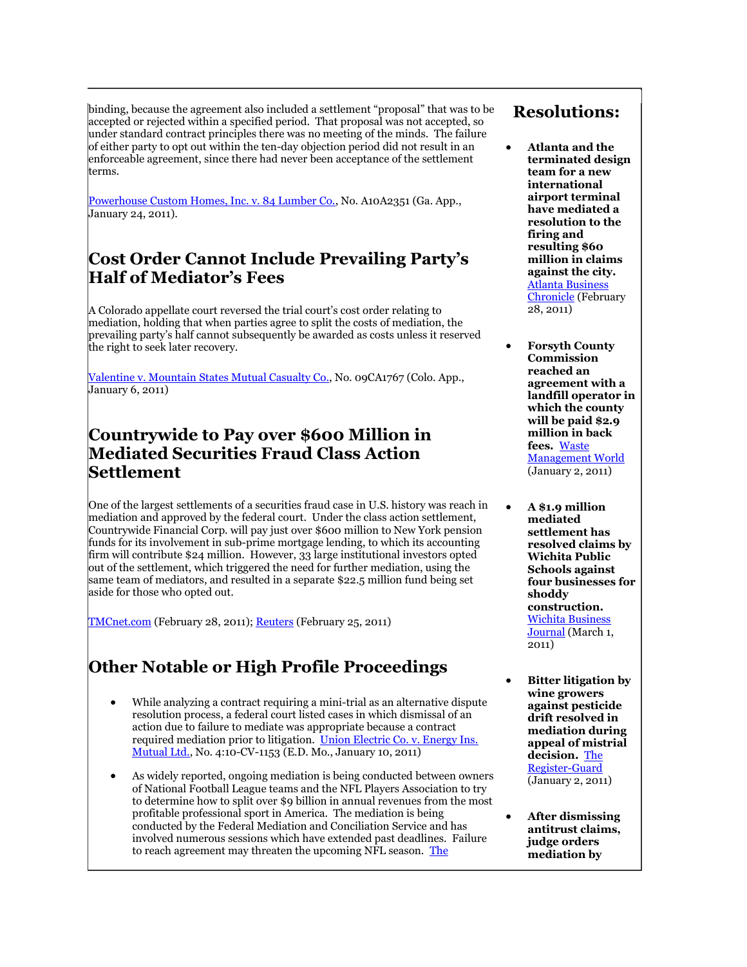binding, because the agreement also included a settlement "proposal" that was to be accepted or rejected within a specified period. That proposal was not accepted, so under standard contract principles there was no meeting of the minds. The failure of either party to opt out within the ten-day objection period did not result in an enforceable agreement, since there had never been acceptance of the settlement terms.

[Powerhouse Custom Homes, Inc. v. 84 Lumber Co.,](http://caselaw.findlaw.com/ga-court-of-appeals/1553661.html) No. A10A2351 (Ga. App., January 24, 2011).

### **Cost Order Cannot Include Prevailing Party's Half of Mediator's Fees**

A Colorado appellate court reversed the trial court's cost order relating to mediation, holding that when parties agree to split the costs of mediation, the prevailing party's half cannot subsequently be awarded as costs unless it reserved the right to seek later recovery.

[Valentine v. Mountain States Mutual Casualty Co.,](http://www.leagle.com/xmlResult.aspx?xmldoc=In%20COCO%2020110106056.xml&docbase=CSLWAR3-2007-CURR) No. 09CA1767 (Colo. App., January 6, 2011)

### **Countrywide to Pay over \$600 Million in Mediated Securities Fraud Class Action Settlement**

One of the largest settlements of a securities fraud case in U.S. history was reach in mediation and approved by the federal court. Under the class action settlement, Countrywide Financial Corp. will pay just over \$600 million to New York pension funds for its involvement in sub-prime mortgage lending, to which its accounting firm will contribute \$24 million. However, 33 large institutional investors opted out of the settlement, which triggered the need for further mediation, using the same team of mediators, and resulted in a separate \$22.5 million fund being set aside for those who opted out.

[TMCnet.com](http://topnews360.tmcnet.com/topics/associated-press/articles/2011/02/28/149397-court-oks-624m-payout-countrywide-investors.htm) (February 28, 2011); [Reuters](http://www.reuters.com/article/2011/02/25/idUKN2526543420110225) (February 25, 2011)

### **Other Notable or High Profile Proceedings**

- While analyzing a contract requiring a mini-trial as an alternative dispute resolution process, a federal court listed cases in which dismissal of an action due to failure to mediate was appropriate because a contract required mediation prior to litigation. [Union Electric Co. v. Energy Ins.](http://scholar.google.com/scholar_case?q=mediation&hl=en&as_sdt=2,9&as_ylo=2011&case=14040602902893318135&scilh=0)  [Mutual Ltd.,](http://scholar.google.com/scholar_case?q=mediation&hl=en&as_sdt=2,9&as_ylo=2011&case=14040602902893318135&scilh=0) No. 4:10-CV-1153 (E.D. Mo., January 10, 2011)
- As widely reported, ongoing mediation is being conducted between owners of National Football League teams and the NFL Players Association to try to determine how to split over \$9 billion in annual revenues from the most profitable professional sport in America. The mediation is being conducted by the Federal Mediation and Conciliation Service and has involved numerous sessions which have extended past deadlines. Failure to reach agreement may threaten the upcoming NFL season. [The](http://www.washingtonpost.com/wp-dyn/content/article/2011/03/09/AR2011030901705_2.html)

### **Resolutions:**

- **Atlanta and the terminated design team for a new international airport terminal have mediated a resolution to the firing and resulting \$60 million in claims against the city.** [Atlanta Business](http://www.bizjournals.com/atlanta/news/2011/02/28/city-airport-design-team-settle.html)  [Chronicle](http://www.bizjournals.com/atlanta/news/2011/02/28/city-airport-design-team-settle.html) (February 28, 2011)
- **Forsyth County Commission reached an agreement with a landfill operator in which the county will be paid \$2.9 million in back fees.** [Waste](http://www.waste-management-world.com/index/from-the-wires/wire-news-display/1332311981.html)  [Management](http://www.waste-management-world.com/index/from-the-wires/wire-news-display/1332311981.html) World (January 2, 2011)
- **A \$1.9 million mediated settlement has resolved claims by Wichita Public Schools against four businesses for shoddy construction.** [Wichita Business](http://www.bizjournals.com/wichita/blog/2011/03/usd-259-agrees-to-19m-settlement.html)  [Journal](http://www.bizjournals.com/wichita/blog/2011/03/usd-259-agrees-to-19m-settlement.html) (March 1, 2011)
- **Bitter litigation by wine growers against pesticide drift resolved in mediation during appeal of mistrial decision.** [The](http://www.registerguard.com/csp/cms/sites/web/news/cityregion/25051060-41/kohlman-drift-oregon-herbicide-herbicides.csp)  [Register-Guard](http://www.registerguard.com/csp/cms/sites/web/news/cityregion/25051060-41/kohlman-drift-oregon-herbicide-herbicides.csp) (January 2, 2011)
- **After dismissing antitrust claims, judge orders mediation by**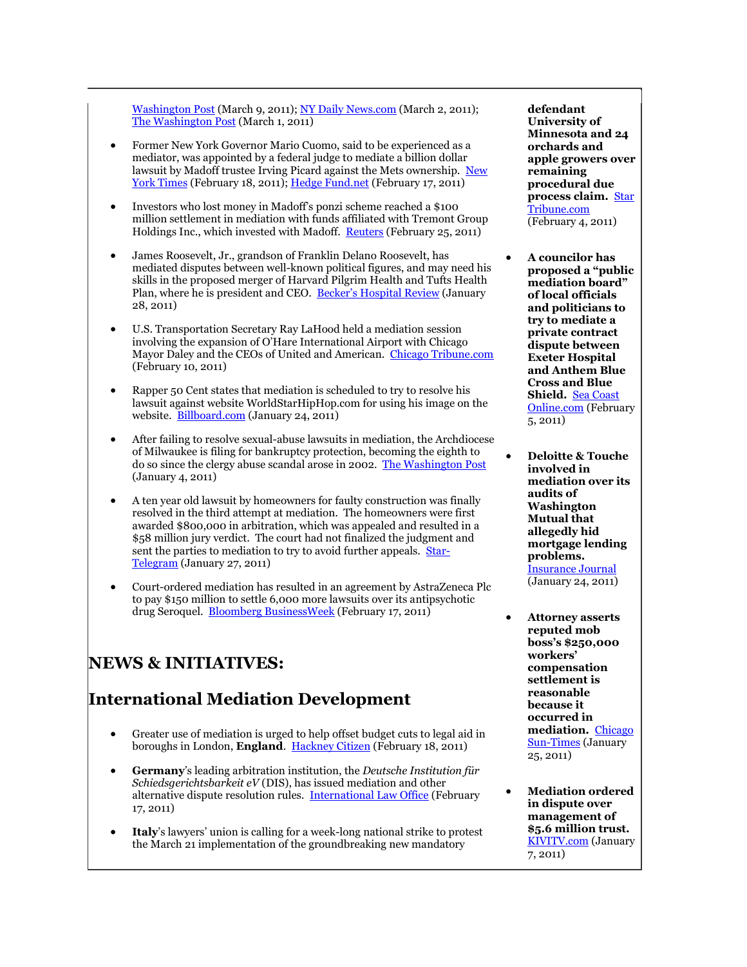Washington Post (March 9, 2011)[; NY Daily News.com](http://www.nydailynews.com/sports/football/2011/03/02/2011-03-02_roger_goodell_and_ten_nfl_owners_including_giants_coowner_john_mara_join_negotia.html) (March 2, 2011); [The Washington Post](http://views.washingtonpost.com/theleague/nflnewsfeed/2011/03/nfl-labor-talks-set-to-resume.html) (March 1, 2011)

- Former New York Governor Mario Cuomo, said to be experienced as a mediator, was appointed by a federal judge to mediate a billion dollar lawsuit by Madoff trustee Irving Picard against the Mets ownership. [New](http://www.nytimes.com/2011/02/19/sports/baseball/19cuomo.html)  [York Times](http://www.nytimes.com/2011/02/19/sports/baseball/19cuomo.html) (February 18, 2011)[; Hedge Fund.net](http://www.hedgefund.net/publicnews/default.aspx?story=12210) (February 17, 2011)
- Investors who lost money in Madoff's ponzi scheme reached a \$100 million settlement in mediation with funds affiliated with Tremont Group Holdings Inc., which invested with Madoff. [Reuters](http://www.reuters.com/article/2011/02/26/madoff-tremont-settlement-idUSN2513388920110226) (February 25, 2011)
- James Roosevelt, Jr., grandson of Franklin Delano Roosevelt, has mediated disputes between well-known political figures, and may need his skills in the proposed merger of Harvard Pilgrim Health and Tufts Health Plan, where he is president and CEO. [Becker's Hospital Review](http://www.beckershospitalreview.com/hospital-leadership-and-executive-moves/ceos-mediation-skills-challenged-in-tufts-and-harvard-merger.html) (January 28, 2011)
- U.S. Transportation Secretary Ray LaHood held a mediation session involving the expansion of O'Hare International Airport with Chicago Mayor Daley and the CEOs of United and American. [Chicago Tribune.com](http://www.chicagotribune.com/news/local/breaking/chibrknews-judge-approves-delay-in-ohare-expansion-suit-20110210,0,4923427.story) (February 10, 2011)
- Rapper 50 Cent states that mediation is scheduled to try to resolve his lawsuit against website WorldStarHipHop.com for using his image on the website. [Billboard.com](http://www.billboard.com/column/the-juice/50-cent-says-he-shut-down-worldstarhiphop-1005010192.story#/column/the-juice/50-cent-says-he-shut-down-worldstarhiphop-1005010192.story) (January 24, 2011)
- After failing to resolve sexual-abuse lawsuits in mediation, the Archdiocese of Milwaukee is filing for bankruptcy protection, becoming the eighth to do so since the clergy abuse scandal arose in 2002. [The Washington Post](http://www.washingtonpost.com/wp-dyn/content/article/2011/01/04/AR2011010402497.html) (January 4, 2011)
- A ten year old lawsuit by homeowners for faulty construction was finally resolved in the third attempt at mediation. The homeowners were first awarded \$800,000 in arbitration, which was appealed and resulted in a \$58 million jury verdict. The court had not finalized the judgment and sent the parties to mediation to try to avoid further appeals. [Star-](http://www.star-telegram.com/2011/01/27/2803431/perry-homes-settles-decade-old.html)[Telegram](http://www.star-telegram.com/2011/01/27/2803431/perry-homes-settles-decade-old.html) (January 27, 2011)
- Court-ordered mediation has resulted in an agreement by AstraZeneca Plc to pay \$150 million to settle 6,000 more lawsuits over its antipsychotic drug Seroquel. [Bloomberg BusinessWeek](http://www.businessweek.com/news/2011-02-17/astrazeneca-said-to-settle-more-seroquel-lawsuits.html) (February 17, 2011)

### **NEWS & INITIATIVES:**

### **International Mediation Development**

- Greater use of mediation is urged to help offset budget cuts to legal aid in boroughs in London, **England**. [Hackney Citizen](http://www.hackneycitizen.co.uk/2011/02/18/hackney-council-urged-to-join-justice-for-all-campaign-to-fight-legal-aid-cuts/comment-page-1/) (February 18, 2011)
- **Germany**'s leading arbitration institution, the *Deutsche Institution für Schiedsgerichtsbarkeit eV* (DIS), has issued mediation and other alternative dispute resolution rules. [International Law Office](http://www.internationallawoffice.com/newsletters/detail.aspx?g=76975172-f475-4fe6-8efa-e7a765fc9ff7) (February 17, 2011)
- **Italy**'s lawyers' union is calling for a week-long national strike to protest the March 21 implementation of the groundbreaking new mandatory

**defendant University of Minnesota and 24 orchards and apple growers over remaining procedural due process claim.** [Star](http://www.startribune.com/local/west/115299869.html?elr=KArks7PYDiaK7DU2EkP7K_V_GD7EaPc:iLP8iUiD3aPc:_Yyc:aUoD3aPc:_27EQU)  [Tribune.com](http://www.startribune.com/local/west/115299869.html?elr=KArks7PYDiaK7DU2EkP7K_V_GD7EaPc:iLP8iUiD3aPc:_Yyc:aUoD3aPc:_27EQU) (February 4, 2011)

- **A councilor has proposed a "public mediation board" of local officials and politicians to try to mediate a private contract dispute between Exeter Hospital and Anthem Blue Cross and Blue Shield.** [Sea Coast](http://www.seacoastonline.com/articles/20110205-NEWS-102050318)  [Online.com](http://www.seacoastonline.com/articles/20110205-NEWS-102050318) (February 5, 2011)
- **Deloitte & Touche involved in mediation over its audits of Washington Mutual that allegedly hid mortgage lending problems.** [Insurance Journal](http://www.insurancejournal.com/news/national/2011/01/24/181435.htm) (January 24, 2011)
- **Attorney asserts reputed mob boss's \$250,000 workers' compensation settlement is reasonable because it occurred in mediation.** [Chicago](http://www.suntimes.com/news/metro/3427453-418/sarno-mob-claim-business-injury.html)  [Sun-Times](http://www.suntimes.com/news/metro/3427453-418/sarno-mob-claim-business-injury.html) (January 25, 2011)
- **Mediation ordered in dispute over management of \$5.6 million trust.** [KIVITV.com](http://www.kivitv.com/Global/story.asp?S=13802979) (January 7, 2011)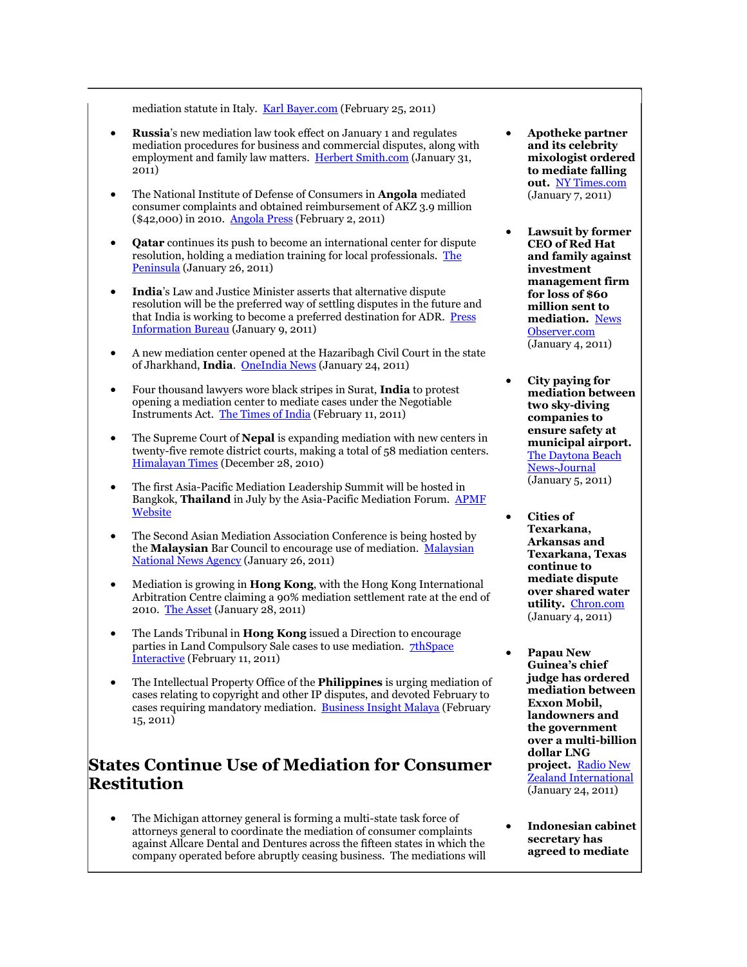mediation statute in Italy. [Karl Bayer.com](http://www.karlbayer.com/blog/?p=12882) (February 25, 2011)

- **Russia**'s new mediation law took effect on January 1 and regulates mediation procedures for business and commercial disputes, along with employment and family law matters. [Herbert Smith.com](http://www.herbertsmith.com/NR/rdonlyres/464429DD-B5EC-4065-9342-327D2D486D41/0/ADRebulletinJanuary2011.html) (January 31, 2011)
- The National Institute of Defense of Consumers in **Angola** mediated consumer complaints and obtained reimbursement of AKZ 3.9 million (\$42,000) in 2010. [Angola Press](http://www.portalangop.co.ao/motix/en_us/noticias/economia/2011/1/5/INADEC-mediation-actions-enabled-refund-over-three-million-kwanza,e4d9ef21-362f-45d3-99d6-07b7f8e221ca.html) (February 2, 2011)
- **Qatar** continues its push to become an international center for dispute resolution, holding a mediation training for local professionals. [The](http://www.thepeninsulaqatar.com/qatar/140422-qatar-financial-centre-organises-training-course.html)  [Peninsula](http://www.thepeninsulaqatar.com/qatar/140422-qatar-financial-centre-organises-training-course.html) (January 26, 2011)
- **India**'s Law and Justice Minister asserts that alternative dispute resolution will be the preferred way of settling disputes in the future and that India is working to become a preferred destination for ADR. Press [Information Bureau](http://pib.nic.in/release/release.asp?relid=68955) (January 9, 2011)
- A new mediation center opened at the Hazaribagh Civil Court in the state of Jharkhand, **India**. [OneIndia News](http://news.oneindia.in/2011/01/25/mediationcentre-would-help-speedy-disposal-of-cases-hccj-aid0126.html) (January 24, 2011)
- Four thousand lawyers wore black stripes in Surat, **India** to protest opening a mediation center to mediate cases under the Negotiable Instruments Act. [The Times of India](http://timesofindia.indiatimes.com/city/surat/City-lawyers-protest-strict-bail-norms-mediation-centre/articleshow/7478490.cms) (February 11, 2011)
- The Supreme Court of **Nepal** is expanding mediation with new centers in twenty-five remote district courts, making a total of 58 mediation centers. [Himalayan Times](http://www.thehimalayantimes.com/fullNews.php?headline=SC+takes+mediation+centres+to+25+more+district+courts&NewsID=270964&a=3) (December 28, 2010)
- The first Asia-Pacific Mediation Leadership Summit will be hosted in Bangkok, **Thailand** in July by the Asia-Pacific Mediation Forum. [APMF](http://www.ausdispute.unisa.edu.au/apmf/)  [Website](http://www.ausdispute.unisa.edu.au/apmf/)
- The Second Asian Mediation Association Conference is being hosted by the **Malaysian** Bar Council to encourage use of mediation. [Malaysian](http://www.bernama.com.my/bernama/v5/newsgeneral.php?id=559566)  [National News Agency](http://www.bernama.com.my/bernama/v5/newsgeneral.php?id=559566) (January 26, 2011)
- Mediation is growing in **Hong Kong**, with the Hong Kong International Arbitration Centre claiming a 90% mediation settlement rate at the end of 2010. [The Asset](http://www.theasset.com/article/19076.html) (January 28, 2011)
- The Lands Tribunal in **Hong Kong** issued a Direction to encourage parties in Land Compulsory Sale cases to use mediation. **7thSpace** [Interactive](http://7thspace.com/headlines/372513/presidents_direction_to_facilitate_mediation_in_land_compulsory_sale_cases.html) (February 11, 2011)
- The Intellectual Property Office of the **Philippines** is urging mediation of cases relating to copyright and other IP disputes, and devoted February to cases requiring mandatory mediation. [Business Insight Malaya](http://www.malaya.com.ph/feb15/busi7.html) (February 15, 2011)

### **States Continue Use of Mediation for Consumer Restitution**

 The Michigan attorney general is forming a multi-state task force of attorneys general to coordinate the mediation of consumer complaints against Allcare Dental and Dentures across the fifteen states in which the company operated before abruptly ceasing business. The mediations will

- **Apotheke partner and its celebrity mixologist ordered to mediate falling out.** [NY Times.com](http://dinersjournal.blogs.nytimes.com/2011/01/07/apotheke-dispute-heads-to-mediation/) (January 7, 2011)
- **Lawsuit by former CEO of Red Hat and family against investment management firm for loss of \$60 million sent to mediation.** [News](http://www.newsobserver.com/2011/01/04/897967/suit-of-red-hat-ex-ceo-is-referred.html)  [Observer.com](http://www.newsobserver.com/2011/01/04/897967/suit-of-red-hat-ex-ceo-is-referred.html) (January 4, 2011)
- **City paying for mediation between two sky-diving companies to ensure safety at municipal airport.** [The Daytona Beach](http://www.news-journalonline.com/news/local/west-volusia/2011/01/05/deland-orders-mediation-for-sky-dive-companies.html)  [News-Journal](http://www.news-journalonline.com/news/local/west-volusia/2011/01/05/deland-orders-mediation-for-sky-dive-companies.html) (January 5, 2011)
- **Cities of Texarkana, Arkansas and Texarkana, Texas continue to mediate dispute over shared water utility.** [Chron.com](http://www.chron.com/disp/story.mpl/ap/tx/7364821.html) (January 4, 2011)
- **Papau New Guinea's chief judge has ordered mediation between Exxon Mobil, landowners and the government over a multi-billion dollar LNG project.** [Radio New](http://www.rnzi.com/pages/news.php?op=read&id=58376)  [Zealand International](http://www.rnzi.com/pages/news.php?op=read&id=58376) (January 24, 2011)
- **Indonesian cabinet secretary has agreed to mediate**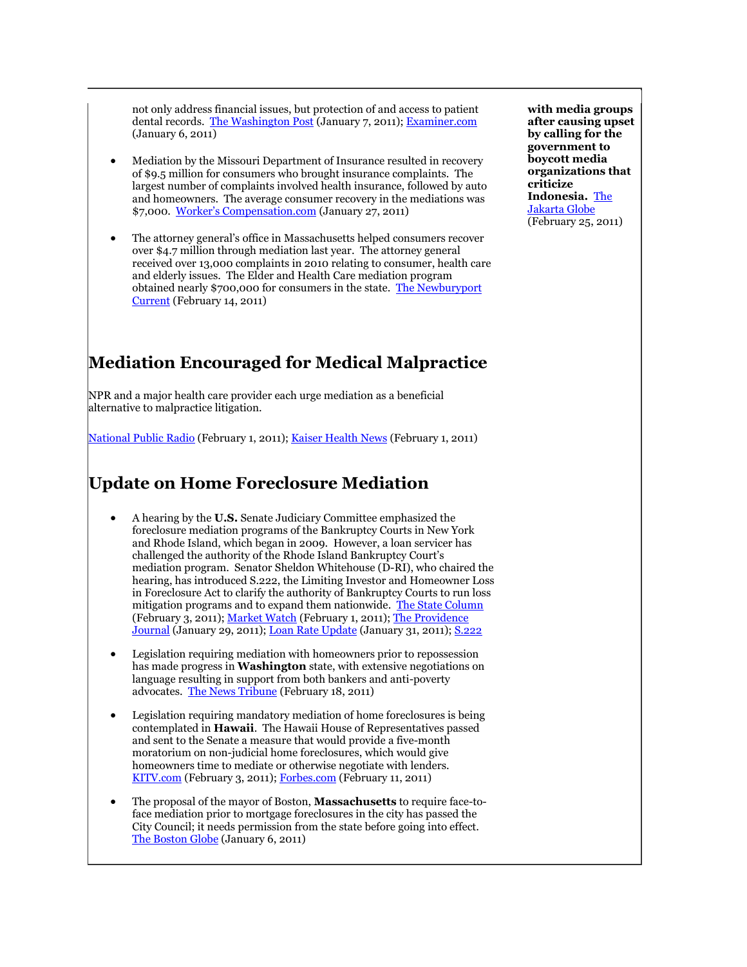not only address financial issues, but protection of and access to patient dental records. [The Washington Post](http://www.washingtonpost.com/wp-dyn/content/article/2011/01/07/AR2011010703143.html) (January 7, 2011); [Examiner.com](http://www.examiner.com/legal-news-in-detroit/michigan-ag-s-office-to-assist-patients-of-now-defunct-allcare-dental) (January 6, 2011)

- Mediation by the Missouri Department of Insurance resulted in recovery of \$9.5 million for consumers who brought insurance complaints. The largest number of complaints involved health insurance, followed by auto and homeowners. The average consumer recovery in the mediations was \$7,000. [Worker's Compensation.com](http://www.workerscompensation.com/compnewsnetwork/news/mo-doi-returns-over-10m-to-consumers-in-2010.html) (January 27, 2011)
- The attorney general's office in Massachusetts helped consumers recover over \$4.7 million through mediation last year. The attorney general received over 13,000 complaints in 2010 relating to consumer, health care and elderly issues. The Elder and Health Care mediation program obtained nearly \$700,000 for consumers in the state. [The Newburyport](http://www.wickedlocal.com/newburyport/news/x163791927/Consumer-complaints-to-state-get-results)  [Current](http://www.wickedlocal.com/newburyport/news/x163791927/Consumer-complaints-to-state-get-results) (February 14, 2011)

### **Mediation Encouraged for Medical Malpractice**

NPR and a major health care provider each urge mediation as a beneficial alternative to malpractice litigation.

[National Public Radio](http://www.npr.org/blogs/health/2011/02/01/133399502/first-let-s-blame-the-lawyers) (February 1, 2011); [Kaiser Health News](http://www.kaiserhealthnews.org/Features/Insuring-Your-Health/Michelle-Andrews-on-Malpractice-and-Mediation.aspx) (February 1, 2011)

### **Update on Home Foreclosure Mediation**

- A hearing by the **U.S.** Senate Judiciary Committee emphasized the foreclosure mediation programs of the Bankruptcy Courts in New York and Rhode Island, which began in 2009. However, a loan servicer has challenged the authority of the Rhode Island Bankruptcy Court's mediation program. Senator Sheldon Whitehouse (D-RI), who chaired the hearing, has introduced S.222, the Limiting Investor and Homeowner Loss in Foreclosure Act to clarify the authority of Bankruptcy Courts to run loss mitigation programs and to expand them nationwide. [The State Column](http://www.thestatecolumn.com/state_politics/rhode-island/experts-testify-on-success-of-foreclosure-mediation-programs-at-whitehouse-hearing/) (February 3, 2011)[; Market Watch](http://www.marketwatch.com/story/senator-eyes-law-on-judge-ordered-mortgage-talks-2011-02-01) (February 1, 2011); The Providence [Journal](http://www.projo.com/economy/Votolato_Rules_Foreclosure_01-30-11_RKM78MH_v18.12e4456.html) (January 29, 2011)[; Loan Rate Update](http://loanrateupdate.com/mortgages/r-i-judge-upholds-foreclosure-mediation-program) (January 31, 2011)[; S.222](http://www.gpo.gov/fdsys/pkg/BILLS-112s222is/pdf/BILLS-112s222is.pdf)
- Legislation requiring mediation with homeowners prior to repossession has made progress in **Washington** state, with extensive negotiations on language resulting in support from both bankers and anti-poverty advocates. [The News Tribune](http://www.thenewstribune.com/2011/02/18/1549856/foreclosure-bill-creates-mediation.html) (February 18, 2011)
- Legislation requiring mandatory mediation of home foreclosures is being contemplated in **Hawaii**. The Hawaii House of Representatives passed and sent to the Senate a measure that would provide a five-month moratorium on non-judicial home foreclosures, which would give homeowners time to mediate or otherwise negotiate with lenders. [KITV.com](http://www.kitv.com/news/26717446/detail.html) (February 3, 2011)[; Forbes.com](http://www.forbes.com/feeds/ap/2011/02/11/real_estate-us-foreclosure-moratorium-hawaii_8304022.html) (February 11, 2011)
- The proposal of the mayor of Boston, **Massachusetts** to require face-toface mediation prior to mortgage foreclosures in the city has passed the City Council; it needs permission from the state before going into effect. [The Boston Globe](http://www.boston.com/bostonglobe/editorial_opinion/oped/articles/2011/01/06/instead_of_foreclosure_an_easier_route_for_all/) (January 6, 2011)

**with media groups after causing upset by calling for the government to boycott media organizations that criticize Indonesia.** [The](http://www.thejakartaglobe.com/home/cabinet-secretary-to-air-out-his-dispute-with-broadcasters/424893)  [Jakarta Globe](http://www.thejakartaglobe.com/home/cabinet-secretary-to-air-out-his-dispute-with-broadcasters/424893) (February 25, 2011)